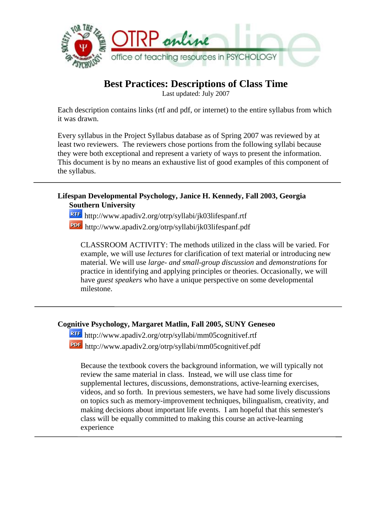

# **Best Practices: Descriptions of Class Time**

Last updated: July 2007

Each description contains links (rtf and pdf, or internet) to the entire syllabus from which it was drawn.

Every syllabus in the Project Syllabus database as of Spring 2007 was reviewed by at least two reviewers. The reviewers chose portions from the following syllabi because they were both exceptional and represent a variety of ways to present the information. This document is by no means an exhaustive list of good examples of this component of the syllabus.

### **Lifespan Developmental Psychology, Janice H. Kennedy, Fall 2003, Georgia Southern University**

<http://www.apadiv2.org/otrp/syllabi/jk03lifespanf.rtf> http://www.apadiv2.org/otrp/syllabi/jk03lifespanf.pdf

CLASSROOM ACTIVITY: The methods utilized in the class will be varied. For example, we will use *lectures* for clarification of text material or introducing new material. We will use *large- and small-group discussion* and *demonstrations* for practice in identifying and applying principles or theories. Occasionally, we will have *guest speakers* who have a unique perspective on some developmental milestone.

# **Cognitive Psychology, Margaret Matlin, Fall 2005, SUNY Geneseo**

http://www.apadiv2.org/otrp/syllabi/mm05cognitivef.rtf http://www.apadiv2.org/otrp/syllabi/mm05cognitivef.pdf

Because the textbook covers the background information, we will typically not review the same material in class. Instead, we will use class time for supplemental lectures, discussions, demonstrations, active-learning exercises, videos, and so forth. In previous semesters, we have had some lively discussions on topics such as memory-improvement techniques, bilingualism, creativity, and making decisions about important life events. I am hopeful that this semester's class will be equally committed to making this course an active-learning experience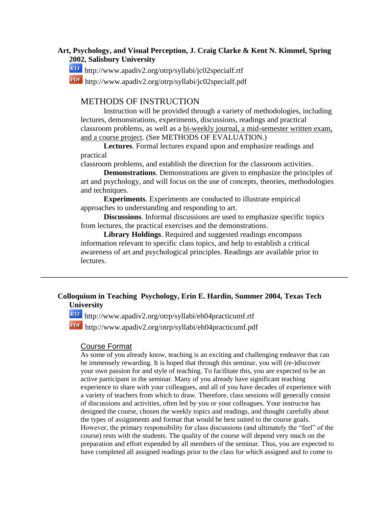### **Art, Psychology, and Visual Perception, J. Craig Clarke & Kent N. Kimmel, Spring 2002, Salisbury University**

http://www.apadiv2.org/otrp/syllabi/jc02specialf.rtf

http://www.apadiv2.org/otrp/syllabi/jc02specialf.pdf

### METHODS OF INSTRUCTION

Instruction will be provided through a variety of methodologies, including lectures, demonstrations, experiments, discussions, readings and practical classroom problems, as well as a bi-weekly journal, a mid-semester written exam, and a course project. (See METHODS OF EVALUATION.)

**Lectures**. Formal lectures expand upon and emphasize readings and practical

classroom problems, and establish the direction for the classroom activities.

**Demonstrations**. Demonstrations are given to emphasize the principles of art and psychology, and will focus on the use of concepts, theories, methodologies and techniques.

**Experiments**. Experiments are conducted to illustrate empirical approaches to understanding and responding to art.

**Discussions**. Informal discussions are used to emphasize specific topics from lectures, the practical exercises and the demonstrations.

**Library Holdings**. Required and suggested readings encompass information relevant to specific class topics, and help to establish a critical awareness of art and psychological principles. Readings are available prior to lectures.

# **Colloquium in Teaching Psychology, Erin E. Hardin, Summer 2004, Texas Tech University**

http://www.apadiv2.org/otrp/syllabi/eh04practicumf.rtf

http://www.apadiv2.org/otrp/syllabi/eh04practicumf.pdf

#### Course Format

As some of you already know, teaching is an exciting and challenging endeavor that can be immensely rewarding. It is hoped that through this seminar, you will (re-)discover your own passion for and style of teaching. To facilitate this, you are expected to be an active participant in the seminar. Many of you already have significant teaching experience to share with your colleagues, and all of you have decades of experience with a variety of teachers from which to draw. Therefore, class sessions will generally consist of discussions and activities, often led by you or your colleagues. Your instructor has designed the course, chosen the weekly topics and readings, and thought carefully about the types of assignments and format that would be best suited to the course goals. However, the primary responsibility for class discussions (and ultimately the "feel" of the course) rests with the students. The quality of the course will depend very much on the preparation and effort expended by all members of the seminar. Thus, you are expected to have completed all assigned readings prior to the class for which assigned and to come to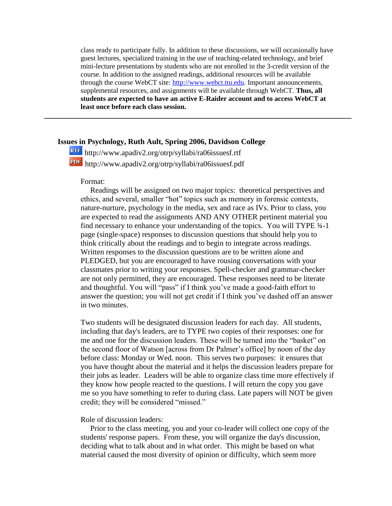class ready to participate fully. In addition to these discussions, we will occasionally have guest lectures, specialized training in the use of teaching-related technology, and brief mini-lecture presentations by students who are not enrolled in the 3-credit version of the course. In addition to the assigned readings, additional resources will be available through the course WebCT site: [http://www.webct.ttu.edu.](http://www.webct.ttu.edu/) Important announcements, supplemental resources, and assignments will be available through WebCT. **Thus, all students are expected to have an active E-Raider account and to access WebCT at least once before each class session.** 

# **Issues in Psychology, Ruth Ault, Spring 2006, Davidson College**

http://www.apadiv2.org/otrp/syllabi/ra06issuesf.rtf http://www.apadiv2.org/otrp/syllabi/ra06issuesf.pdf

#### Format:

 Readings will be assigned on two major topics: theoretical perspectives and ethics, and several, smaller "hot" topics such as memory in forensic contexts, nature-nurture, psychology in the media, sex and race as IVs. Prior to class, you are expected to read the assignments AND ANY OTHER pertinent material you find necessary to enhance your understanding of the topics. You will TYPE ¾-1 page (single-space) responses to discussion questions that should help you to think critically about the readings and to begin to integrate across readings. Written responses to the discussion questions are to be written alone and PLEDGED, but you are encouraged to have rousing conversations with your classmates prior to writing your responses. Spell-checker and grammar-checker are not only permitted, they are encouraged. These responses need to be literate and thoughtful. You will "pass" if I think you've made a good-faith effort to answer the question; you will not get credit if I think you've dashed off an answer in two minutes.

Two students will be designated discussion leaders for each day. All students, including that day's leaders, are to TYPE two copies of their responses: one for me and one for the discussion leaders. These will be turned into the "basket" on the second floor of Watson [across from Dr Palmer's office] by noon of the day before class: Monday or Wed. noon. This serves two purposes: it ensures that you have thought about the material and it helps the discussion leaders prepare for their jobs as leader. Leaders will be able to organize class time more effectively if they know how people reacted to the questions. I will return the copy you gave me so you have something to refer to during class. Late papers will NOT be given credit; they will be considered "missed."

#### Role of discussion leaders:

 Prior to the class meeting, you and your co-leader will collect one copy of the students' response papers. From these, you will organize the day's discussion, deciding what to talk about and in what order. This might be based on what material caused the most diversity of opinion or difficulty, which seem more